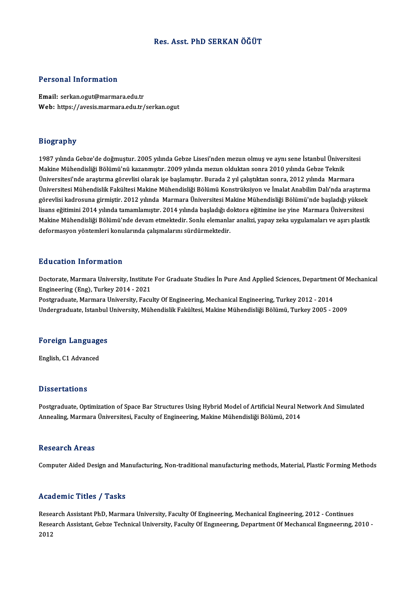#### Res. Asst. PhD SERKAN ÖĞÜT

#### Personal Information

Email: serkan.ogut@marmara.edu.tr Web: https://avesis.marmara.edu.tr/serkan.ogut

#### Biography

Biography<br>1987 yılında Gebze'de doğmuştur. 2005 yılında Gebze Lisesi'nden mezun olmuş ve aynı sene İstanbul Üniversitesi<br>Makine Mühendisliği Bölümü'nü kazanmıştır. 2009 yılında mezun olduktan senra 2010 yılında Gebze Tekni Biogrupis<br>1987 yılında Gebze'de doğmuştur. 2005 yılında Gebze Lisesi'nden mezun olmuş ve aynı sene İstanbul Üniver<br>Makine Mühendisliği Bölümü'nü kazanmıştır. 2009 yılında mezun olduktan sonra 2010 yılında Gebze Teknik<br>Üniv Makine Mühendisliği Bölümü'nü kazanmıştır. 2009 yılında mezun olduktan sonra 2010 yılında Gebze Teknik<br>Üniversitesi'nde araştırma görevlisi olarak işe başlamıştır. Burada 2 yıl çalıştıktan sonra, 2012 yılında Marmara Makine Mühendisliği Bölümü'nü kazanmıştır. 2009 yılında mezun olduktan sonra 2010 yılında Gebze Teknik<br>Üniversitesi'nde araştırma görevlisi olarak işe başlamıştır. Burada 2 yıl çalıştıktan sonra, 2012 yılında Marmara<br>Üniv Üniversitesi'nde araştırma görevlisi olarak işe başlamıştır. Burada 2 yıl çalıştıktan sonra, 2012 yılında Marmara<br>Üniversitesi Mühendislik Fakültesi Makine Mühendisliği Bölümü Konstrüksiyon ve İmalat Anabilim Dalı'nda ara Üniversitesi Mühendislik Fakültesi Makine Mühendisliği Bölümü Konstrüksiyon ve İmalat Anabilim Dalı'nda araştırn<br>görevlisi kadrosuna girmiştir. 2012 yılında Marmara Üniversitesi Makine Mühendisliği Bölümü'nde başladığı yü görevlisi kadrosuna girmiştir. 2012 yılında Marmara Üniversitesi Makine Mühendisliği Bölümü'nde başladığı yüksek<br>Iisans eğitimini 2014 yılında tamamlamıştır. 2014 yılında başladığı doktora eğitimine ise yine Marmara Üniv lisans eğitimini 2014 yılında tamamlamıştır. 2014 yılında başladığı doktora eğitimine ise yine Marmara Üniversitesi

#### Education Information

Education Information<br>Doctorate, Marmara University, Institute For Graduate Studies İn Pure And Applied Sciences, Department Of Mechanical<br>Engineening (Eng), Turkey 2014, 2021 Eu acation Thron Matron<br>Doctorate, Marmara University, Institute<br>Engineering (Eng), Turkey 2014 - 2021<br>Postaraduate, Marmara University, Facu Doctorate, Marmara University, Institute For Graduate Studies İn Pure And Applied Sciences, Department<br>Engineering (Eng), Turkey 2014 - 2021<br>Postgraduate, Marmara University, Faculty Of Engineering, Mechanical Engineering,

Engineering (Eng), Turkey 2014 - 2021<br>Postgraduate, Marmara University, Faculty Of Engineering, Mechanical Engineering, Turkey 2012 - 2014<br>Undergraduate, Istanbul University, Mühendislik Fakültesi, Makine Mühendisliği Bölü

## <sub>ondergraduate, istanbul</sub><br>Foreign Languages <mark>Foreign Language</mark><br>English, C1 Advanced

English, C1 Advanced<br>Dissertations

Postgraduate, Optimization of Space Bar Structures Using Hybrid Model of Artificial Neural Network And Simulated Annealing, Marmara Üniversitesi, Faculty of Engineering, Makine Mühendisliği Bölümü, 2014

#### **Research Areas**

Computer Aided Design and Manufacturing, Non-traditional manufacturing methods, Material, Plastic Forming Methods

#### Academic Titles / Tasks

Research Assistant PhD, Marmara University, Faculty Of Engineering, Mechanical Engineering, 2012 - Continues redutenne Trees 7 Tusns<br>Research Assistant PhD, Marmara University, Faculty Of Engineering, Mechanical Engineering, 2012 - Continues<br>Research Assistant, Gebze Technical University, Faculty Of Engineering, Department Of Mec Rese:<br>Rese:<br>2012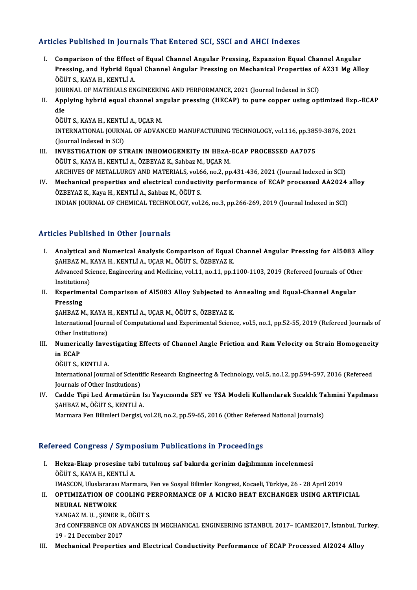#### Articles Published in Journals That Entered SCI, SSCI and AHCI Indexes

I. Comparison of the Effect of Equal Channel Angular Pressing, Expansion Equal Channel Angular Most I dishistica in your haid three Enterod Bory BBOI and Throi Thuckes<br>Comparison of the Effect of Equal Channel Angular Pressing, Expansion Equal Channel Angular<br>Pressing, and Hybrid Equal Channel Angular Pressing on Me **Comparison of the Effect<br>Pressing, and Hybrid Equ<br>ÖĞÜT S., KAYA H., KENTLİ A.<br>JOUPNAL OF MATERIALS EN** Pressing, and Hybrid Equal Channel Angular Pressing on Mechanical Properties of<br>ÖĞÜT S., KAYA H., KENTLİ A.<br>JOURNAL OF MATERIALS ENGINEERING AND PERFORMANCE, 2021 (Journal Indexed in SCI)<br>Annlying bybrid equal shannel angu

ÖĞÜT S., KAYA H., KENTLİ A.<br>JOURNAL OF MATERIALS ENGINEERING AND PERFORMANCE, 2021 (Journal Indexed in SCI)<br>II. Applying hybrid equal channel angular pressing (HECAP) to pure copper using optimized Exp.-ECAP<br>die JOUI<br><mark>App</mark><br>die Applying hybrid equal channel an<br>die<br>ÖĞÜT S., KAYA H., KENTLİ A., UÇAR M.<br>INTERNATIONAL JOURNAL OF ADYAN

die<br>ÖĞÜT S., KAYA H., KENTLİ A., UÇAR M.<br>INTERNATIONAL JOURNAL OF ADVANCED MANUFACTURING TECHNOLOGY, vol.116, pp.3859-3876, 2021 (Journal Indexed in SCI)

- III. INVESTIGATION OF STRAIN INHOMOGENEITY IN HEXA-ECAP PROCESSED AA7075 ÖĞÜT S., KAYA H., KENTLİ A., ÖZBEYAZ K., Sahbaz M., UÇAR M. INVESTIGATION OF STRAIN INHOMOGENEITy IN HExA-ECAP PROCESSED AA7075<br>ÖĞÜT S., KAYA H., KENTLİ A., ÖZBEYAZ K., Sahbaz M., UÇAR M.<br>ARCHIVES OF METALLURGY AND MATERIALS, vol.66, no.2, pp.431-436, 2021 (Journal Indexed in SCI)<br> ÖĞÜT S., KAYA H., KENTLİ A., ÖZBEYAZ K., Sahbaz M., UÇAR M.<br>ARCHIVES OF METALLURGY AND MATERIALS, vol.66, no.2, pp.431-436, 2021 (Journal Indexed in SCI)<br>IV. Mechanical properties and electrical conductivity performance of
- ARCHIVES OF METALLURGY AND MATERIALS, vol.6<br>Mechanical properties and electrical conducti<br>ÖZBEYAZ K., Kaya H., KENTLİ A., Sahbaz M., ÖĞÜT S.<br>INDIAN JOUPNAL OF CHEMICAL TECHNOLOCY vol. IV. Mechanical properties and electrical conductivity performance of ECAP processed AA2024 alloy<br>ÖZBEYAZ K., Kaya H., KENTLİ A., Sahbaz M., ÖĞÜT S.<br>INDIAN JOURNAL OF CHEMICAL TECHNOLOGY, vol.26, no.3, pp.266-269, 2019 (Jou

#### Articles Published in Other Journals

- I. Tricles Published in Other Journals<br>I. Analytical and Numerical Analysis Comparison of Equal Channel Angular Pressing for Al5083 Alloy<br>SAURAZM KAYA H. KENTLLA UGARM ÖĞÜTS ÖZPEVAZK SEE I HEMENCH IN OTHET JOHT HATE<br>Analytical and Numerical Analysis Comparison of Equal<br>ŞAHBAZ M., KAYA H., KENTLİ A., UÇAR M., ÖĞÜT S., ÖZBEYAZ K.<br>Advanced Science Engineering and Medicine, vel 11 no 11 nn 1 Analytical and Numerical Analysis Comparison of Equal Channel Angular Pressing for Al5083 Al<br>ŞAHBAZ M., KAYA H., KENTLİ A., UÇAR M., ÖĞÜT S., ÖZBEYAZ K.<br>Advanced Science, Engineering and Medicine, vol.11, no.11, pp.1100-11 SAHBAZ M., I<br>Advanced Sci<br>Institutions)<br>Eunoniment Advanced Science, Engineering and Medicine, vol.11, no.11, pp.1100-1103, 2019 (Refereed Journals of Othen Institutions)<br>II. Experimental Comparison of Al5083 Alloy Subjected to Annealing and Equal-Channel Angular<br>Pressing
- Institutions)<br>II. Experimental Comparison of Al5083 Alloy Subjected to Annealing and Equal-Channel Angular<br>Pressing

ŞAHBAZ M., KAYA H., KENTLİ A., UÇAR M., ÖĞÜT S., ÖZBEYAZ K.

International Journal of Computational and Experimental Science, vol.5, no.1, pp.52-55, 2019 (Refereed Journals of SAHBAZ M., KAYA I<br>International Journ<br>Other Institutions)<br>Numerically Inve International Journal of Computational and Experimental Science, vol.5, no.1, pp.52-55, 2019 (Refereed Journals of<br>Other Institutions)<br>III. Numerically Investigating Effects of Channel Angle Friction and Ram Velocity on St

- Other Ins<br>**Numeric<br>in ECAP**<br>ÖČÜTS 1 Numerically Inve<br>in ECAP<br>ÖĞÜT S., KENTLİ A.<br>International Iourn
	-

in ECAP<br>ÖĞÜT S., KENTLİ A.<br>International Journal of Scientific Research Engineering & Technology, vol.5, no.12, pp.594-597, 2016 (Refereed ÖĞÜT S., KENTLİ A.<br>International Journal of Scienti<br>Journals of Other Institutions)<br>Cedde Tini Led Armetürün International Journal of Scientific Research Engineering & Technology, vol.5, no.12, pp.594-597, 2016 (Refereed<br>Journals of Other Institutions)<br>IV. Cadde Tipi Led Armatürün Isı Yayıcısında SEY ve YSA Modeli Kullanılarak Sı

Journals of Other Institutions)<br>Cadde Tipi Led Armatürün I<br>ŞAHBAZ M., ÖĞÜT S., KENTLİ A.<br>Marmara Ean Bilimlari Dargici Cadde Tipi Led Armatürün Isı Yayıcısında SEY ve YSA Modeli Kullanılarak Sıcaklık Ta<br>ŞAHBAZ M., ÖĞÜT S., KENTLİ A.<br>Marmara Fen Bilimleri Dergisi, vol.28, no.2, pp.59-65, 2016 (Other Refereed National Journals)

# marmara ren bilimieri bergisi, vol.28, no.2, pp.59-65, 2016 (Other Referee<br>Refereed Congress / Symposium Publications in Proceedings

efereed Congress / Symposium Publications in Proceedings<br>I. Hekza-Ekap prosesine tabi tutulmuş saf bakırda gerinim dağılımının incelenmesi<br>Öğüms, KAXA H. KENTLİA I. Hekza-Ekap prosesine tabi tutulmuş saf bakırda gerinim dağılımının incelenmesi<br>ÖĞÜT S., KAYA H., KENTLİ A. IMASCON,UluslararasıMarmara,Fenve SosyalBilimlerKongresi,Kocaeli,Türkiye,26 -28April2019 I . OPTIMIZATION OF COOLING PERFORMANCE OF AMICRO HEAT EXCHANGER USING ARTIFICIAL IMASCON, Uluslararası<br>OPTIMIZATION OF C<br>NEURAL NETWORK<br>YANGAZ M U. SENER

**OPTIMIZATION OF COOLING P<br>NEURAL NETWORK<br>YANGAZ M. U. , ŞENER R., ÖĞÜT S.<br>2rd CONEEPENCE ON ADVANCES** NEURAL NETWORK<br>YANGAZ M. U. , ŞENER R., ÖĞÜT S.<br>3rd CONFERENCE ON ADVANCES IN MECHANICAL ENGINEERING ISTANBUL 2017– ICAME2017, İstanbul, Turkey, YANGAZ M. U. , ŞENER R.<br>3rd CONFERENCE ON AI<br>19 - 21 December 2017<br>Mechanisal Bronorties 3rd CONFERENCE ON ADVANCES IN MECHANICAL ENGINEERING ISTANBUL 2017– ICAME2017, İstanbul, Tu<br>19 - 21 December 2017<br>III. Mechanical Properties and Electrical Conductivity Performance of ECAP Processed Al2024 Alloy